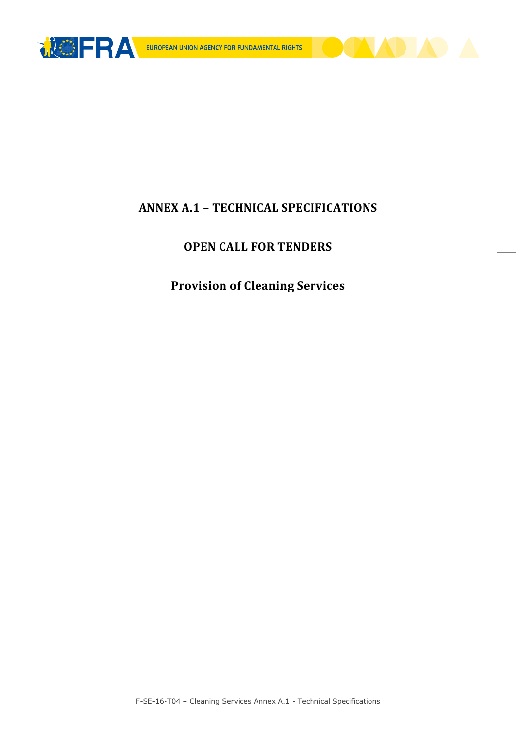



# ANNEX A.1 – TECHNICAL SPECIFICATIONS

# OPEN CALL FOR TENDERS

# Provision of Cleaning Services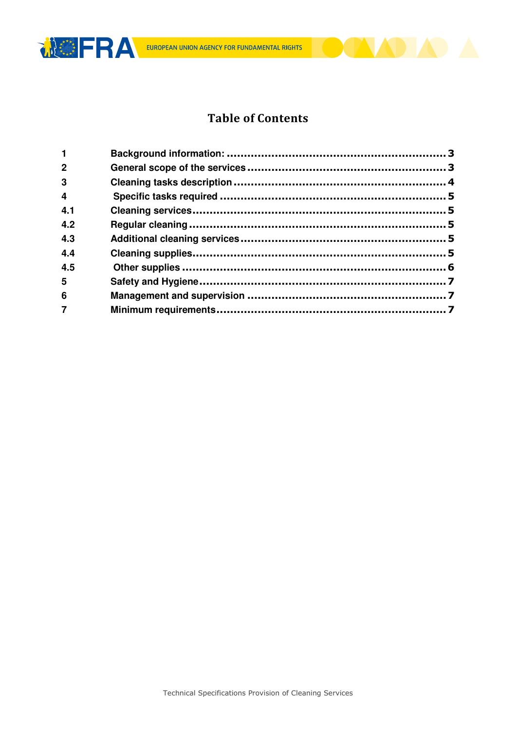



## **Table of Contents**

| $\overline{2}$          |  |
|-------------------------|--|
| $\overline{\mathbf{3}}$ |  |
| $\overline{\mathbf{4}}$ |  |
| 4.1                     |  |
| 4.2                     |  |
| 4.3                     |  |
| 4.4                     |  |
| 4.5                     |  |
| 5                       |  |
| 6                       |  |
| $\overline{7}$          |  |
|                         |  |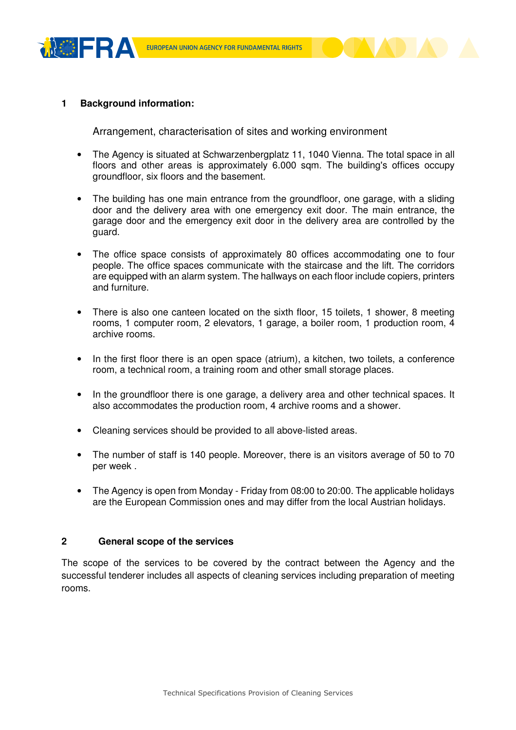



#### **<sup>1</sup> Background information:**

Arrangement, characterisation of sites and working environment

- The Agency is situated at Schwarzenbergplatz 11, 1040 Vienna. The total space in all floors and other areas is approximately 6.000 sqm. The building's offices occupy groundfloor, six floors and the basement.
- The building has one main entrance from the groundfloor, one garage, with a sliding door and the delivery area with one emergency exit door. The main entrance, the garage door and the emergency exit door in the delivery area are controlled by the guard.
- The office space consists of approximately 80 offices accommodating one to four people. The office spaces communicate with the staircase and the lift. The corridors are equipped with an alarm system. The hallways on each floor include copiers, printers and furniture.
- There is also one canteen located on the sixth floor, 15 toilets, 1 shower, 8 meeting rooms, 1 computer room, 2 elevators, 1 garage, a boiler room, 1 production room, 4 archive rooms.
- In the first floor there is an open space (atrium), a kitchen, two toilets, a conference room, a technical room, a training room and other small storage places.
- In the groundfloor there is one garage, a delivery area and other technical spaces. It also accommodates the production room, 4 archive rooms and a shower.
- Cleaning services should be provided to all above-listed areas.
- The number of staff is 140 people. Moreover, there is an visitors average of 50 to 70 per week .
- The Agency is open from Monday Friday from 08:00 to 20:00. The applicable holidays are the European Commission ones and may differ from the local Austrian holidays.

#### **2 General scope of the services**

The scope of the services to be covered by the contract between the Agency and the successful tenderer includes all aspects of cleaning services including preparation of meeting rooms.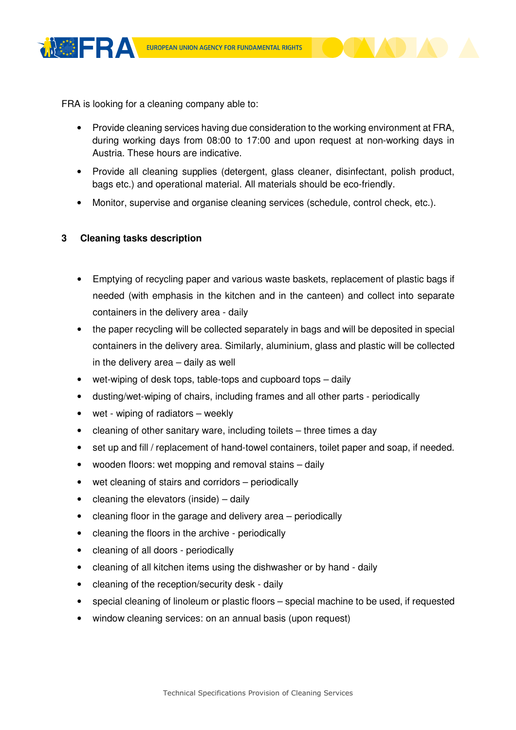



- Provide cleaning services having due consideration to the working environment at FRA, during working days from 08:00 to 17:00 and upon request at non-working days in Austria. These hours are indicative.
- Provide all cleaning supplies (detergent, glass cleaner, disinfectant, polish product, bags etc.) and operational material. All materials should be eco-friendly.
- Monitor, supervise and organise cleaning services (schedule, control check, etc.).

### **3 Cleaning tasks description**

- Emptying of recycling paper and various waste baskets, replacement of plastic bags if needed (with emphasis in the kitchen and in the canteen) and collect into separate containers in the delivery area - daily
- the paper recycling will be collected separately in bags and will be deposited in special containers in the delivery area. Similarly, aluminium, glass and plastic will be collected in the delivery area – daily as well
- wet-wiping of desk tops, table-tops and cupboard tops daily
- dusting/wet-wiping of chairs, including frames and all other parts periodically
- wet wiping of radiators weekly
- cleaning of other sanitary ware, including toilets three times a day
- set up and fill / replacement of hand-towel containers, toilet paper and soap, if needed.
- wooden floors: wet mopping and removal stains daily
- wet cleaning of stairs and corridors periodically
- $\bullet$  cleaning the elevators (inside) daily
- cleaning floor in the garage and delivery area periodically
- cleaning the floors in the archive periodically
- cleaning of all doors periodically
- cleaning of all kitchen items using the dishwasher or by hand daily
- cleaning of the reception/security desk daily
- special cleaning of linoleum or plastic floors special machine to be used, if requested
- window cleaning services: on an annual basis (upon request)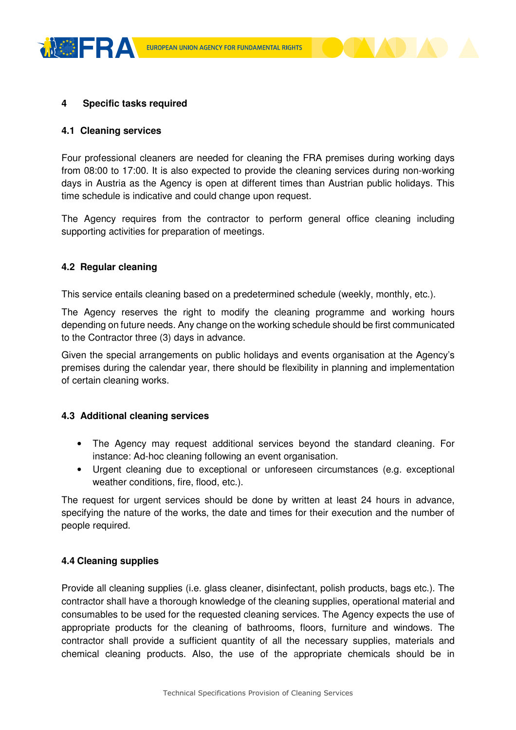



#### **4 Specific tasks required**

#### **4.1 Cleaning services**

Four professional cleaners are needed for cleaning the FRA premises during working days from 08:00 to 17:00. It is also expected to provide the cleaning services during non-working days in Austria as the Agency is open at different times than Austrian public holidays. This time schedule is indicative and could change upon request.

The Agency requires from the contractor to perform general office cleaning including supporting activities for preparation of meetings.

#### **4.2 Regular cleaning**

This service entails cleaning based on a predetermined schedule (weekly, monthly, etc.).

The Agency reserves the right to modify the cleaning programme and working hours depending on future needs. Any change on the working schedule should be first communicated to the Contractor three (3) days in advance.

Given the special arrangements on public holidays and events organisation at the Agency's premises during the calendar year, there should be flexibility in planning and implementation of certain cleaning works.

#### **4.3 Additional cleaning services**

- The Agency may request additional services beyond the standard cleaning. For instance: Ad-hoc cleaning following an event organisation.
- Urgent cleaning due to exceptional or unforeseen circumstances (e.g. exceptional weather conditions, fire, flood, etc.).

The request for urgent services should be done by written at least 24 hours in advance, specifying the nature of the works, the date and times for their execution and the number of people required.

#### **4.4 Cleaning supplies**

Provide all cleaning supplies (i.e. glass cleaner, disinfectant, polish products, bags etc.). The contractor shall have a thorough knowledge of the cleaning supplies, operational material and consumables to be used for the requested cleaning services. The Agency expects the use of appropriate products for the cleaning of bathrooms, floors, furniture and windows. The contractor shall provide a sufficient quantity of all the necessary supplies, materials and chemical cleaning products. Also, the use of the appropriate chemicals should be in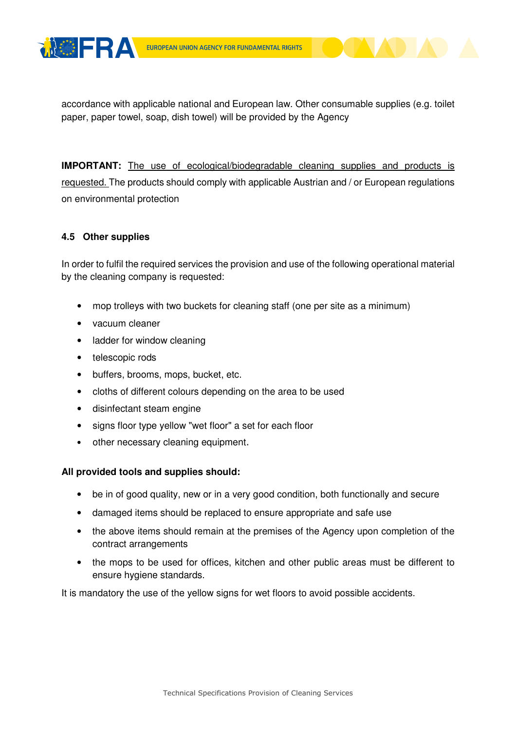



**IMPORTANT:** The use of ecological/biodegradable cleaning supplies and products is requested. The products should comply with applicable Austrian and / or European regulations on environmental protection

### **4.5 Other supplies**

In order to fulfil the required services the provision and use of the following operational material by the cleaning company is requested:

- mop trolleys with two buckets for cleaning staff (one per site as a minimum)
- vacuum cleaner
- ladder for window cleaning
- telescopic rods
- buffers, brooms, mops, bucket, etc.
- cloths of different colours depending on the area to be used
- disinfectant steam engine
- signs floor type yellow "wet floor" a set for each floor
- other necessary cleaning equipment.

#### **All provided tools and supplies should:**

- be in of good quality, new or in a very good condition, both functionally and secure
- damaged items should be replaced to ensure appropriate and safe use
- the above items should remain at the premises of the Agency upon completion of the contract arrangements
- the mops to be used for offices, kitchen and other public areas must be different to ensure hygiene standards.

It is mandatory the use of the yellow signs for wet floors to avoid possible accidents.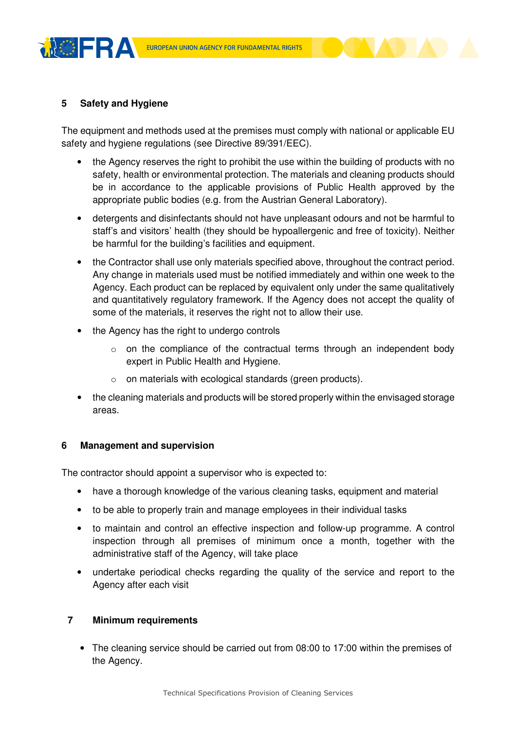



## **5 Safety and Hygiene**

The equipment and methods used at the premises must comply with national or applicable EU safety and hygiene regulations (see Directive 89/391/EEC).

- the Agency reserves the right to prohibit the use within the building of products with no safety, health or environmental protection. The materials and cleaning products should be in accordance to the applicable provisions of Public Health approved by the appropriate public bodies (e.g. from the Austrian General Laboratory).
- detergents and disinfectants should not have unpleasant odours and not be harmful to staff's and visitors' health (they should be hypoallergenic and free of toxicity). Neither be harmful for the building's facilities and equipment.
- the Contractor shall use only materials specified above, throughout the contract period. Any change in materials used must be notified immediately and within one week to the Agency. Each product can be replaced by equivalent only under the same qualitatively and quantitatively regulatory framework. If the Agency does not accept the quality of some of the materials, it reserves the right not to allow their use.
- the Agency has the right to undergo controls
	- o on the compliance of the contractual terms through an independent body expert in Public Health and Hygiene.
	- o on materials with ecological standards (green products).
- the cleaning materials and products will be stored properly within the envisaged storage areas.

#### **6 Management and supervision**

The contractor should appoint a supervisor who is expected to:

- have a thorough knowledge of the various cleaning tasks, equipment and material
- to be able to properly train and manage employees in their individual tasks
- to maintain and control an effective inspection and follow-up programme. A control inspection through all premises of minimum once a month, together with the administrative staff of the Agency, will take place
- undertake periodical checks regarding the quality of the service and report to the Agency after each visit

### **7 Minimum requirements**

• The cleaning service should be carried out from 08:00 to 17:00 within the premises of the Agency.